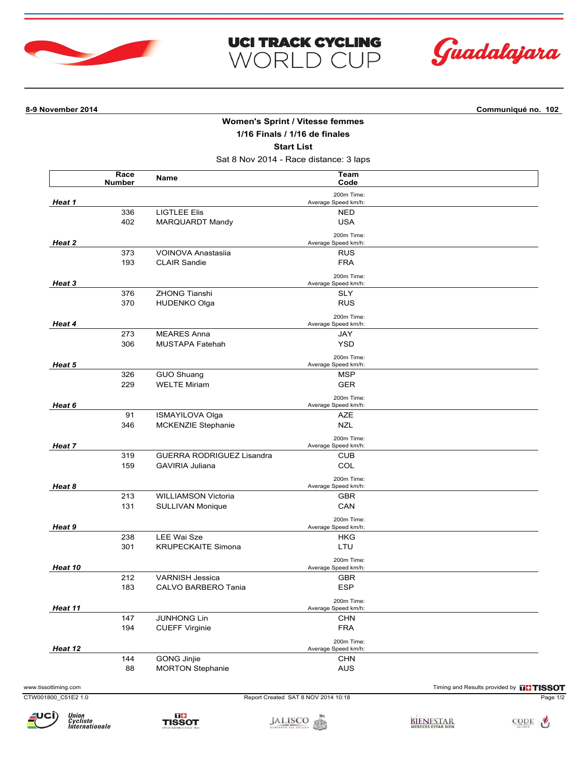



**8-9 November 2014 Communiqué no. 102**

## **Women's Sprint / Vitesse femmes 1/16 Finals / 1/16 de finales**

**UCI TRACK CYCLING** 

WORLD CUP

**Start List**

Sat 8 Nov 2014 - Race distance: 3 laps

|                      | Race<br><b>Number</b> | Name                             | Team<br>Code                        |                                               |
|----------------------|-----------------------|----------------------------------|-------------------------------------|-----------------------------------------------|
|                      |                       |                                  | 200m Time:                          |                                               |
| <b>Heat 1</b>        |                       |                                  | Average Speed km/h:                 |                                               |
|                      | 336                   | <b>LIGTLEE Elis</b>              | <b>NED</b>                          |                                               |
|                      | 402                   | MARQUARDT Mandy                  | <b>USA</b>                          |                                               |
|                      |                       |                                  | 200m Time:                          |                                               |
| Heat 2               |                       |                                  | Average Speed km/h:                 |                                               |
|                      | 373                   | VOINOVA Anastasiia               | <b>RUS</b>                          |                                               |
|                      | 193                   | <b>CLAIR Sandie</b>              | <b>FRA</b>                          |                                               |
| Heat 3               |                       |                                  | 200m Time:                          |                                               |
|                      |                       | <b>ZHONG Tianshi</b>             | Average Speed km/h:                 |                                               |
|                      | 376                   |                                  | <b>SLY</b>                          |                                               |
|                      | 370                   | <b>HUDENKO Olga</b>              | <b>RUS</b>                          |                                               |
|                      |                       |                                  | 200m Time:                          |                                               |
| Heat 4               |                       |                                  | Average Speed km/h:                 |                                               |
|                      | 273                   | <b>MEARES Anna</b>               | JAY                                 |                                               |
|                      | 306                   | MUSTAPA Fatehah                  | <b>YSD</b>                          |                                               |
| Heat 5<br>Heat 6     |                       |                                  | 200m Time:                          |                                               |
|                      |                       |                                  | Average Speed km/h:                 |                                               |
|                      | 326                   | <b>GUO Shuang</b>                | <b>MSP</b>                          |                                               |
|                      | 229                   | <b>WELTE Miriam</b>              | <b>GER</b>                          |                                               |
|                      |                       |                                  | 200m Time:                          |                                               |
|                      |                       |                                  | Average Speed km/h:                 |                                               |
|                      | 91                    | ISMAYILOVA Olga                  | AZE                                 |                                               |
|                      | 346                   | MCKENZIE Stephanie               | <b>NZL</b>                          |                                               |
|                      |                       |                                  | 200m Time:                          |                                               |
| Heat 7               |                       |                                  | Average Speed km/h:                 |                                               |
|                      | 319                   | <b>GUERRA RODRIGUEZ Lisandra</b> | <b>CUB</b>                          |                                               |
|                      | 159                   | GAVIRIA Juliana                  | COL                                 |                                               |
| Heat 8               |                       |                                  | 200m Time:                          |                                               |
|                      |                       |                                  | Average Speed km/h:                 |                                               |
|                      | 213                   | <b>WILLIAMSON Victoria</b>       | <b>GBR</b>                          |                                               |
|                      | 131                   | SULLIVAN Monique                 | CAN                                 |                                               |
|                      |                       |                                  | 200m Time:                          |                                               |
| Heat 9               |                       |                                  | Average Speed km/h:                 |                                               |
|                      | 238                   | <b>LEE Wai Sze</b>               | HKG                                 |                                               |
|                      | 301                   | <b>KRUPECKAITE Simona</b>        | LTU                                 |                                               |
|                      |                       |                                  | 200m Time:                          |                                               |
| Heat 10              |                       |                                  | Average Speed km/h:                 |                                               |
|                      | 212                   | <b>VARNISH Jessica</b>           | <b>GBR</b>                          |                                               |
|                      | 183                   | CALVO BARBERO Tania              | <b>ESP</b>                          |                                               |
|                      |                       |                                  | 200m Time:                          |                                               |
| Heat 11              |                       |                                  | Average Speed km/h:                 |                                               |
|                      | 147                   | <b>JUNHONG Lin</b>               | <b>CHN</b>                          |                                               |
|                      | 194                   | <b>CUEFF Virginie</b>            | <b>FRA</b>                          |                                               |
|                      |                       |                                  | 200m Time:                          |                                               |
| Heat 12              |                       |                                  | Average Speed km/h:                 |                                               |
|                      | 144                   | GONG Jinjie                      | <b>CHN</b>                          |                                               |
|                      | 88                    | <b>MORTON Stephanie</b>          | <b>AUS</b>                          |                                               |
| www.tissottiming.com |                       |                                  |                                     | Timing and Results provided by <b>THISSOT</b> |
| CTW001800 C51E2 1.0  |                       |                                  | Report Created SAT 8 NOV 2014 10:18 | Page 1/2                                      |
|                      |                       |                                  |                                     |                                               |

Union<br>Cycliste<br>Internationale



JALISCO SE ESTADO